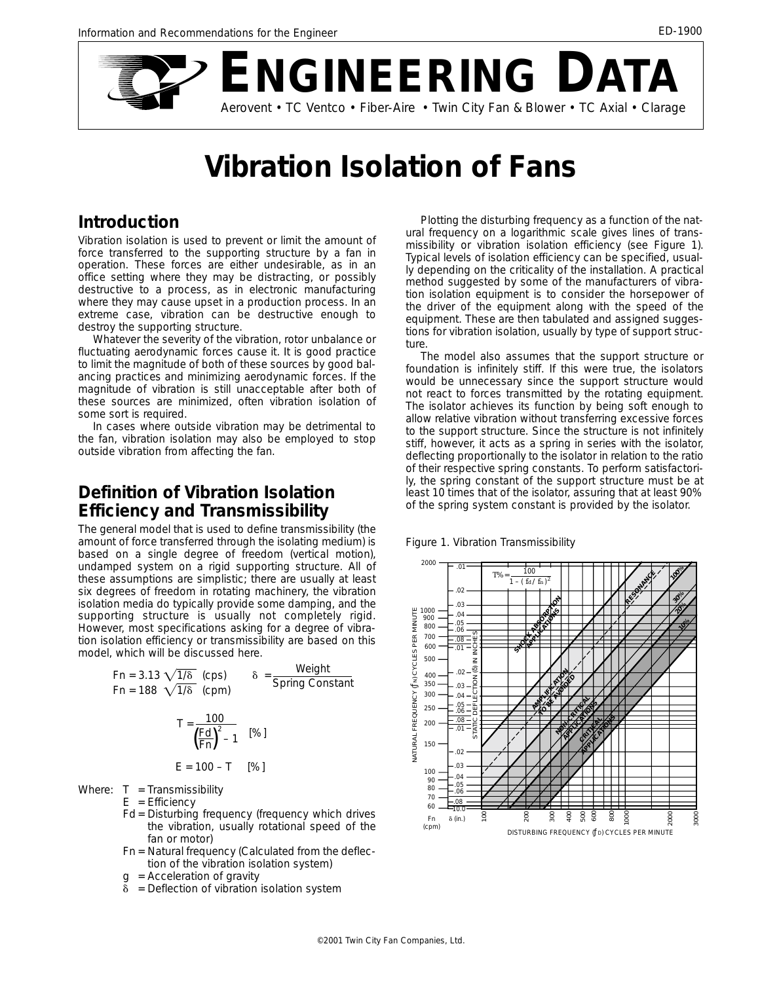

# **Vibration Isolation of Fans**

#### **Introduction**

Vibration isolation is used to prevent or limit the amount of force transferred to the supporting structure by a fan in operation. These forces are either undesirable, as in an office setting where they may be distracting, or possibly destructive to a process, as in electronic manufacturing where they may cause upset in a production process. In an extreme case, vibration can be destructive enough to destroy the supporting structure.

Whatever the severity of the vibration, rotor unbalance or fluctuating aerodynamic forces cause it. It is good practice to limit the magnitude of both of these sources by good balancing practices and minimizing aerodynamic forces. If the magnitude of vibration is still unacceptable after both of these sources are minimized, often vibration isolation of some sort is required.

In cases where outside vibration may be detrimental to the fan, vibration isolation may also be employed to stop outside vibration from affecting the fan.

## **Definition of Vibration Isolation Efficiency and Transmissibility**

The general model that is used to define transmissibility (the amount of force transferred through the isolating medium) is based on a single degree of freedom (vertical motion), undamped system on a rigid supporting structure. All of these assumptions are simplistic; there are usually at least six degrees of freedom in rotating machinery, the vibration isolation media do typically provide some damping, and the supporting structure is usually not completely rigid. However, most specifications asking for a degree of vibration isolation efficiency or transmissibility are based on this model, which will be discussed here.

Fn = 3.13 
$$
\sqrt{1/\delta}
$$
 (cps)  $\delta = \frac{\text{Weight}}{\text{Spring Constant}}$   
Fn = 188  $\sqrt{1/\delta}$  (cpm)

$$
T = \frac{100}{\left(\frac{Fd}{Fn}\right)^2 - 1} \quad [\%]
$$

$$
E = 100 - T
$$
 [%)

Where:  $T =$ Transmissibility

 $E =$  Efficiency

- Fd = Disturbing frequency (frequency which drives the vibration, usually rotational speed of the fan or motor)
- Fn = Natural frequency (Calculated from the deflection of the vibration isolation system)
- $g =$  Acceleration of gravity
- δ = Deflection of vibration isolation system

Plotting the disturbing frequency as a function of the natural frequency on a logarithmic scale gives lines of transmissibility or vibration isolation efficiency (see Figure 1). Typical levels of isolation efficiency can be specified, usually depending on the criticality of the installation. A practical method suggested by some of the manufacturers of vibration isolation equipment is to consider the horsepower of the driver of the equipment along with the speed of the equipment. These are then tabulated and assigned suggestions for vibration isolation, usually by type of support structure.

The model also assumes that the support structure or foundation is infinitely stiff. If this were true, the isolators would be unnecessary since the support structure would not react to forces transmitted by the rotating equipment. The isolator achieves its function by being soft enough to allow relative vibration without transferring excessive forces to the support structure. Since the structure is not infinitely stiff, however, it acts as a spring in series with the isolator, deflecting proportionally to the isolator in relation to the ratio of their respective spring constants. To perform satisfactorily, the spring constant of the support structure must be at least 10 times that of the isolator, assuring that at least 90% of the spring system constant is provided by the isolator.



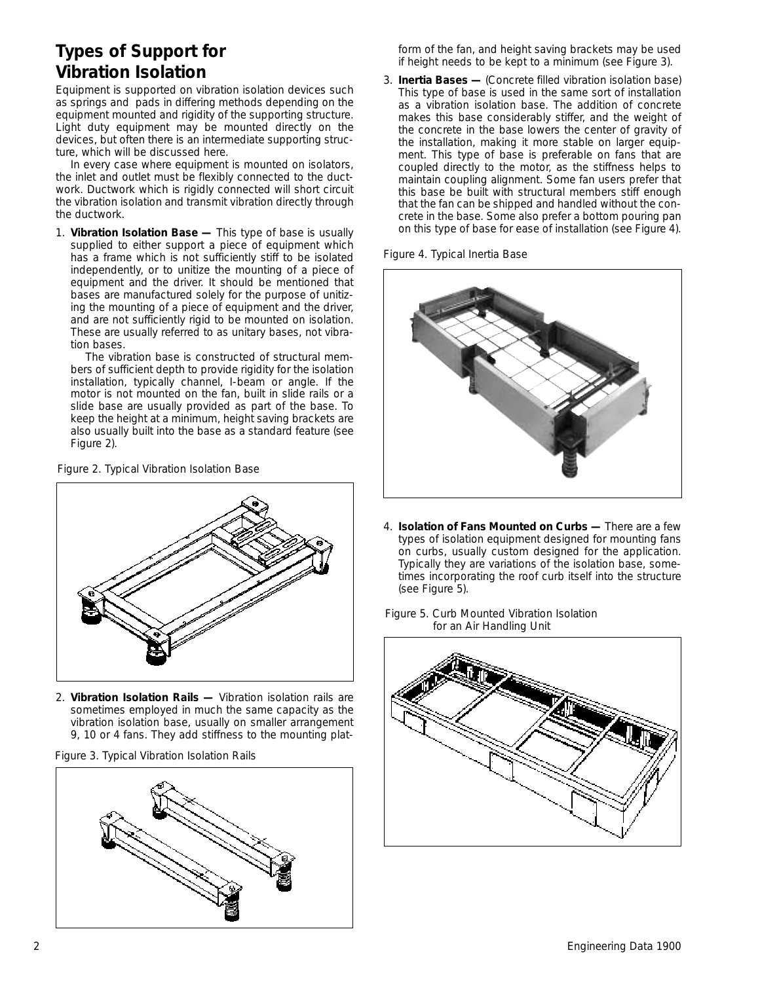## **Types of Support for Vibration Isolation**

Equipment is supported on vibration isolation devices such as springs and pads in differing methods depending on the equipment mounted and rigidity of the supporting structure. Light duty equipment may be mounted directly on the devices, but often there is an intermediate supporting structure, which will be discussed here.

In every case where equipment is mounted on isolators, the inlet and outlet must be flexibly connected to the ductwork. Ductwork which is rigidly connected will short circuit the vibration isolation and transmit vibration directly through the ductwork.

1. **Vibration Isolation Base —** This type of base is usually supplied to either support a piece of equipment which has a frame which is not sufficiently stiff to be isolated independently, or to unitize the mounting of a piece of equipment and the driver. It should be mentioned that bases are manufactured solely for the purpose of unitizing the mounting of a piece of equipment and the driver, and are not sufficiently rigid to be mounted on isolation. These are usually referred to as unitary bases, not vibration bases.

The vibration base is constructed of structural members of sufficient depth to provide rigidity for the isolation installation, typically channel, I-beam or angle. If the motor is not mounted on the fan, built in slide rails or a slide base are usually provided as part of the base. To keep the height at a minimum, height saving brackets are also usually built into the base as a standard feature (see Figure 2).





2. **Vibration Isolation Rails —** Vibration isolation rails are sometimes employed in much the same capacity as the vibration isolation base, usually on smaller arrangement 9, 10 or 4 fans. They add stiffness to the mounting plat-





form of the fan, and height saving brackets may be used if height needs to be kept to a minimum (see Figure 3).

3. **Inertia Bases —** (Concrete filled vibration isolation base) This type of base is used in the same sort of installation as a vibration isolation base. The addition of concrete makes this base considerably stiffer, and the weight of the concrete in the base lowers the center of gravity of the installation, making it more stable on larger equipment. This type of base is preferable on fans that are coupled directly to the motor, as the stiffness helps to maintain coupling alignment. Some fan users prefer that this base be built with structural members stiff enough that the fan can be shipped and handled without the concrete in the base. Some also prefer a bottom pouring pan on this type of base for ease of installation (see Figure 4).

*Figure 4. Typical Inertia Base*



- 4. **Isolation of Fans Mounted on Curbs —** There are a few types of isolation equipment designed for mounting fans on curbs, usually custom designed for the application. Typically they are variations of the isolation base, sometimes incorporating the roof curb itself into the structure (see Figure 5).
- *Figure 5. Curb Mounted Vibration Isolation for an Air Handling Unit*

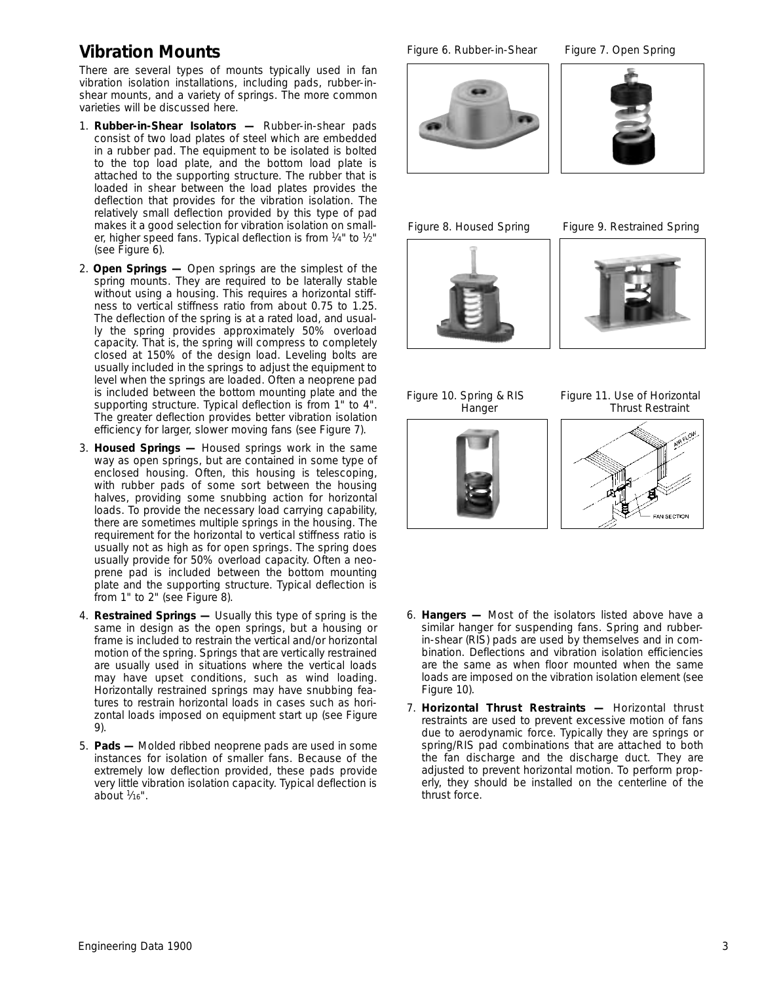## **Vibration Mounts**

There are several types of mounts typically used in fan vibration isolation installations, including pads, rubber-inshear mounts, and a variety of springs. The more common varieties will be discussed here.

- 1. **Rubber-in-Shear Isolators —** Rubber-in-shear pads consist of two load plates of steel which are embedded in a rubber pad. The equipment to be isolated is bolted to the top load plate, and the bottom load plate is attached to the supporting structure. The rubber that is loaded in shear between the load plates provides the deflection that provides for the vibration isolation. The relatively small deflection provided by this type of pad makes it a good selection for vibration isolation on smaller, higher speed fans. Typical deflection is from  $\frac{1}{4}$ " to  $\frac{1}{2}$ " (see Figure 6).
- 2. **Open Springs —** Open springs are the simplest of the spring mounts. They are required to be laterally stable without using a housing. This requires a horizontal stiffness to vertical stiffness ratio from about 0.75 to 1.25. The deflection of the spring is at a rated load, and usually the spring provides approximately 50% overload capacity. That is, the spring will compress to completely closed at 150% of the design load. Leveling bolts are usually included in the springs to adjust the equipment to level when the springs are loaded. Often a neoprene pad is included between the bottom mounting plate and the supporting structure. Typical deflection is from 1" to 4". The greater deflection provides better vibration isolation efficiency for larger, slower moving fans (see Figure 7).
- 3. **Housed Springs —** Housed springs work in the same way as open springs, but are contained in some type of enclosed housing. Often, this housing is telescoping, with rubber pads of some sort between the housing halves, providing some snubbing action for horizontal loads. To provide the necessary load carrying capability, there are sometimes multiple springs in the housing. The requirement for the horizontal to vertical stiffness ratio is usually not as high as for open springs. The spring does usually provide for 50% overload capacity. Often a neoprene pad is included between the bottom mounting plate and the supporting structure. Typical deflection is from 1" to 2" (see Figure 8).
- 4. **Restrained Springs —** Usually this type of spring is the same in design as the open springs, but a housing or frame is included to restrain the vertical and/or horizontal motion of the spring. Springs that are vertically restrained are usually used in situations where the vertical loads may have upset conditions, such as wind loading. Horizontally restrained springs may have snubbing features to restrain horizontal loads in cases such as horizontal loads imposed on equipment start up (see Figure 9).
- 5. **Pads —** Molded ribbed neoprene pads are used in some instances for isolation of smaller fans. Because of the extremely low deflection provided, these pads provide very little vibration isolation capacity. Typical deflection is about  $\frac{1}{16}$ ".

Figure 6. Rubber-in-Shear Figure 7. Open Spring





*Figure 8. Housed Spring Figure 9. Restrained Spring*







*Figure 10. Spring & RIS Figure 11. Use of Horizontal Hanger Thrust Restraint*



- 6. **Hangers —** Most of the isolators listed above have a similar hanger for suspending fans. Spring and rubberin-shear (RIS) pads are used by themselves and in combination. Deflections and vibration isolation efficiencies are the same as when floor mounted when the same loads are imposed on the vibration isolation element (see Figure 10).
- 7. **Horizontal Thrust Restraints —** Horizontal thrust restraints are used to prevent excessive motion of fans due to aerodynamic force. Typically they are springs or spring/RIS pad combinations that are attached to both the fan discharge and the discharge duct. They are adjusted to prevent horizontal motion. To perform properly, they should be installed on the centerline of the thrust force.